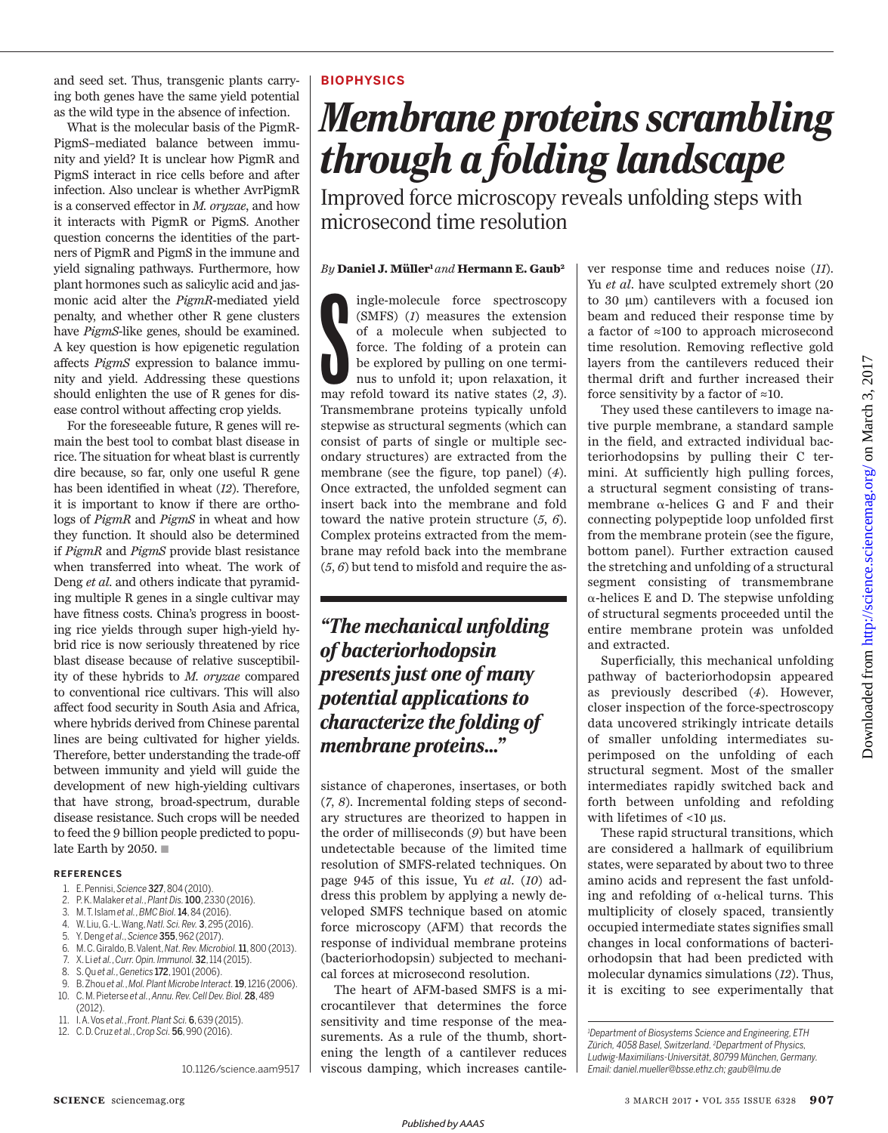and seed set. Thus, transgenic plants carrying both genes have the same yield potential as the wild type in the absence of infection.

What is the molecular basis of the PigmR-PigmS–mediated balance between immunity and yield? It is unclear how PigmR and PigmS interact in rice cells before and after infection. Also unclear is whether AvrPigmR is a conserved effector in *M. oryzae*, and how it interacts with PigmR or PigmS. Another question concerns the identities of the partners of PigmR and PigmS in the immune and yield signaling pathways. Furthermore, how plant hormones such as salicylic acid and jasmonic acid alter the *PigmR*-mediated yield penalty, and whether other R gene clusters have *PigmS*-like genes, should be examined. A key question is how epigenetic regulation affects *PigmS* expression to balance immunity and yield. Addressing these questions should enlighten the use of R genes for disease control without affecting crop yields.

For the foreseeable future, R genes will remain the best tool to combat blast disease in rice. The situation for wheat blast is currently dire because, so far, only one useful R gene has been identified in wheat (*12*). Therefore, it is important to know if there are orthologs of *PigmR* and *PigmS* in wheat and how they function. It should also be determined if *PigmR* and *PigmS* provide blast resistance when transferred into wheat. The work of Deng *et al*. and others indicate that pyramiding multiple R genes in a single cultivar may have fitness costs. China's progress in boosting rice yields through super high-yield hybrid rice is now seriously threatened by rice blast disease because of relative susceptibility of these hybrids to *M. oryzae* compared to conventional rice cultivars. This will also affect food security in South Asia and Africa, where hybrids derived from Chinese parental lines are being cultivated for higher yields. Therefore, better understanding the trade-off between immunity and yield will guide the development of new high-yielding cultivars that have strong, broad-spectrum, durable disease resistance. Such crops will be needed to feed the 9 billion people predicted to populate Earth by 2050.  $\blacksquare$ 

#### **REFERENCES**

- 1. E. Pennisi, *Science* 327, 804 (2010).
- 2. P. K. Malaker *et al.*, *Plant Dis.*100, 2330 (2016).
- 3. M. T. Islam *et al.*, *BMC Biol.*14, 84 (2016).
- 4. W. Liu, G.-L. Wang, *Natl. Sci. Rev.* 3, 295 (2016).
- 5. Y. Deng *et al*., *Science* 355, 962 (2017).
- 6. M. C. Giraldo, B. Valent, *Nat. Rev. Microbiol.*11, 800 (2013).
- 7. X. Li *et al.*, *Curr. Opin. Immunol.* 32, 114 (2015).
- 8. S. Qu *et al.*, *Genetics* 172, 1901 (2006).
- 9. B. Zhou *et al.*, *Mol. Plant Microbe Interact.*19, 1216 (2006).
- 10. C. M. Pieterse *et al.*, *Annu. Rev. Cell Dev. Biol.* 28, 489 (2012).
- 11. I. A. Vos *et al.*, *Front. Plant Sci.* 6, 639 (2015).
- 12. C. D. Cruz *et al.*, *Crop Sci.* 56, 990 (2016).

10.1126/science.aam9517

## **BIOPHYSICS**

# *Membrane proteins scrambling through a folding landscape*

Improved force microscopy reveals unfolding steps with microsecond time resolution

## *By* **Daniel J. Müller1** *and* **Hermann E. Gaub<sup>2</sup>**

ingle-molecule force spectroscopy<br>
(SMFS) (1) measures the extension<br>
of a molecule when subjected to<br>
force. The folding of a protein can<br>
be explored by pulling on one termi-<br>
nus to unfold it; upon relaxation, it<br>
may r ingle-molecule force spectroscopy (SMFS) (*1*) measures the extension of a molecule when subjected to force. The folding of a protein can be explored by pulling on one terminus to unfold it; upon relaxation, it Transmembrane proteins typically unfold stepwise as structural segments (which can consist of parts of single or multiple secondary structures) are extracted from the membrane (see the figure, top panel) (*4*). Once extracted, the unfolded segment can insert back into the membrane and fold toward the native protein structure (*5*, *6*). Complex proteins extracted from the membrane may refold back into the membrane (*5*, *6*) but tend to misfold and require the as-

## *"The mechanical unfolding of bacteriorhodopsin presents just one of many potential applications to characterize the folding of membrane proteins..."*

sistance of chaperones, insertases, or both (*7*, *8*). Incremental folding steps of secondary structures are theorized to happen in the order of milliseconds (*9*) but have been undetectable because of the limited time resolution of SMFS-related techniques. On page 945 of this issue, Yu *et al.* (*10*) address this problem by applying a newly developed SMFS technique based on atomic force microscopy (AFM) that records the response of individual membrane proteins (bacteriorhodopsin) subjected to mechanical forces at microsecond resolution.

The heart of AFM-based SMFS is a microcantilever that determines the force sensitivity and time response of the measurements. As a rule of the thumb, shortening the length of a cantilever reduces viscous damping, which increases cantile-

ver response time and reduces noise (*11*). Yu *et al.* have sculpted extremely short (20 to 30 µm) cantilevers with a focused ion beam and reduced their response time by a factor of ≈100 to approach microsecond time resolution. Removing reflective gold layers from the cantilevers reduced their thermal drift and further increased their force sensitivity by a factor of  $\approx 10$ .

They used these cantilevers to image native purple membrane, a standard sample in the field, and extracted individual bacteriorhodopsins by pulling their C termini. At sufficiently high pulling forces, a structural segment consisting of transmembrane  $\alpha$ -helices G and F and their connecting polypeptide loop unfolded first from the membrane protein (see the figure, bottom panel). Further extraction caused the stretching and unfolding of a structural segment consisting of transmembrane  $\alpha$ -helices E and D. The stepwise unfolding of structural segments proceeded until the entire membrane protein was unfolded and extracted.

Superficially, this mechanical unfolding pathway of bacteriorhodopsin appeared as previously described (*4*). However, closer inspection of the force-spectroscopy data uncovered strikingly intricate details of smaller unfolding intermediates superimposed on the unfolding of each structural segment. Most of the smaller intermediates rapidly switched back and forth between unfolding and refolding with lifetimes of <10 µs.

These rapid structural transitions, which are considered a hallmark of equilibrium states, were separated by about two to three amino acids and represent the fast unfolding and refolding of  $\alpha$ -helical turns. This multiplicity of closely spaced, transiently occupied intermediate states signifies small changes in local conformations of bacteriorhodopsin that had been predicted with molecular dynamics simulations (*12*). Thus, it is exciting to see experimentally that

*<sup>1</sup>Department of Biosystems Science and Engineering, ETH Zürich, 4058 Basel, Switzerland. <sup>2</sup>Department of Physics, Ludwig-Maximilians-Universität, 80799 München, Germany. Email: daniel.mueller@bsse.ethz.ch; gaub@lmu.de*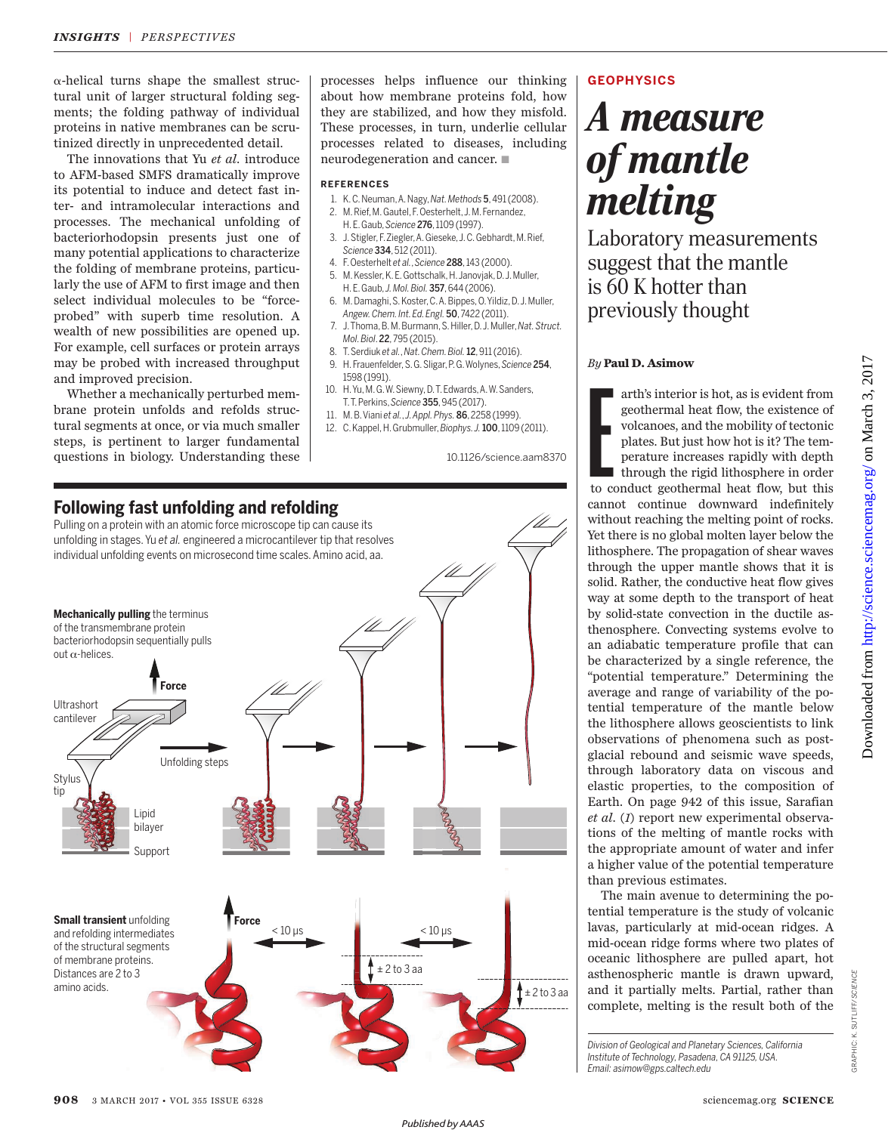$\alpha$ -helical turns shape the smallest structural unit of larger structural folding segments; the folding pathway of individual proteins in native membranes can be scrutinized directly in unprecedented detail.

The innovations that Yu *et al.* introduce to AFM-based SMFS dramatically improve its potential to induce and detect fast inter- and intramolecular interactions and processes. The mechanical unfolding of bacteriorhodopsin presents just one of many potential applications to characterize the folding of membrane proteins, particularly the use of AFM to first image and then select individual molecules to be "forceprobed" with superb time resolution. A wealth of new possibilities are opened up. For example, cell surfaces or protein arrays may be probed with increased throughput and improved precision.

Whether a mechanically perturbed membrane protein unfolds and refolds structural segments at once, or via much smaller steps, is pertinent to larger fundamental questions in biology. Understanding these processes helps influence our thinking about how membrane proteins fold, how they are stabilized, and how they misfold. These processes, in turn, underlie cellular processes related to diseases, including neurodegeneration and cancer.  $\blacksquare$ 

### **REFERENCES**

- 1. K. C. Neuman, A. Nagy, *Nat. Methods* 5, 491 (2008).
- 2. M. Rief, M. Gautel, F. Oesterhelt, J. M. Fernandez, H. E. Gaub, *Science* 276, 1109 (1997).
- 3. J. Stigler, F. Ziegler, A. Gieseke, J. C. Gebhardt, M. Rief, *Science* 334, 512 (2011).
- 4. F. Oesterhelt *et al.*, *Science* 288, 143 (2000).
- 5. M. Kessler, K. E. Gottschalk, H. Janovjak, D. J. Muller, H. E. Gaub, *J. Mol. Biol.* 357, 644 (2006).
- 6. M. Damaghi, S. Koster, C. A. Bippes, O. Yildiz, D. J. Muller, *Angew. Chem. Int. Ed. Engl.* 50, 7422 (2011).
- 7. J. Thoma, B. M. Burmann, S. Hiller, D. J. Muller, *Nat. Struct. Mol. Biol*. 22, 795 (2015).
- 8. T. Serdiuk *et al.*, *Nat. Chem. Biol.*12, 911 (2016).
- 9. H. Frauenfelder, S. G. Sligar, P. G. Wolynes, *Science* 254, 1598 (1991).
- 10. H. Yu, M. G. W. Siewny, D. T. Edwards, A. W. Sanders, T. T. Perkins, *Science* 355, 945 (2017).
- 11. M. B. Viani *et al.*, *J. Appl. Phys.* 86, 2258 (1999).
- 12. C. Kappel, H. Grubmuller, *Biophys. J.*100, 1109 (2011).

10.1126/science.aam8370



## **GEOPHYSICS**

## *A measure of mantle melting*

Laboratory measurements suggest that the mantle is 60 K hotter than previously thought

## *By* **Paul D. Asimow**

arth's interior is hot, as is evident from<br>geothermal heat flow, the existence of<br>volcanoes, and the mobility of tectonic<br>plates. But just how hot is it? The tem-<br>perature increases rapidly with depth<br>through the rigid lit arth's interior is hot, as is evident from geothermal heat flow, the existence of volcanoes, and the mobility of tectonic plates. But just how hot is it? The temperature increases rapidly with depth through the rigid lithosphere in order cannot continue downward indefinitely without reaching the melting point of rocks. Yet there is no global molten layer below the lithosphere. The propagation of shear waves through the upper mantle shows that it is solid. Rather, the conductive heat flow gives way at some depth to the transport of heat by solid-state convection in the ductile asthenosphere. Convecting systems evolve to an adiabatic temperature profile that can be characterized by a single reference, the "potential temperature." Determining the average and range of variability of the potential temperature of the mantle below the lithosphere allows geoscientists to link observations of phenomena such as postglacial rebound and seismic wave speeds, through laboratory data on viscous and elastic properties, to the composition of Earth. On page 942 of this issue, Sarafian *et al.* (*1*) report new experimental observations of the melting of mantle rocks with the appropriate amount of water and infer a higher value of the potential temperature than previous estimates.

The main avenue to determining the potential temperature is the study of volcanic lavas, particularly at mid-ocean ridges. A mid-ocean ridge forms where two plates of oceanic lithosphere are pulled apart, hot asthenospheric mantle is drawn upward, and it partially melts. Partial, rather than complete, melting is the result both of the

*Division of Geological and Planetary Sciences, California Institute of Technology, Pasadena, CA 91125, USA. Email: asimow@gps.caltech.edu*

GRAPHIC: K. SUTLIFF/*SCIENCE*

GRAPHIC: K. SUTLIFF/SCIENCE